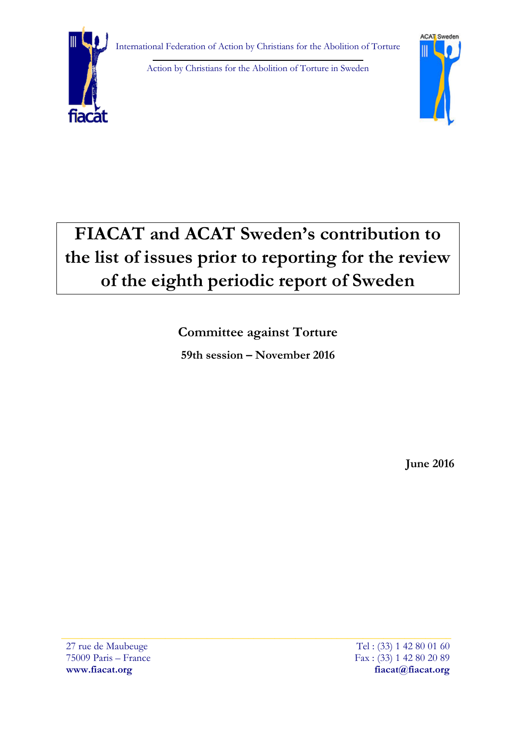

Action by Christians for the Abolition of Torture in Sweden



# **FIACAT and ACAT Sweden's contribution to the list of issues prior to reporting for the review of the eighth periodic report of Sweden**

**Committee against Torture 59th session – November 2016**

**June 2016**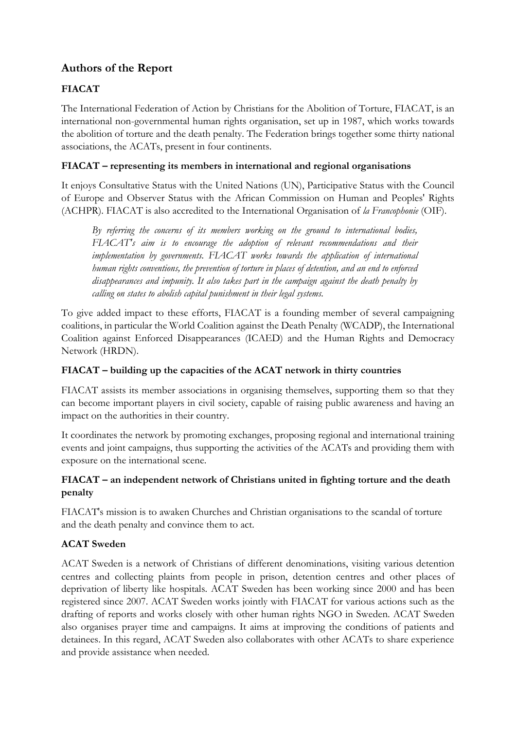# **Authors of the Report**

# **FIACAT**

The International Federation of Action by Christians for the Abolition of Torture, FIACAT, is an international non-governmental human rights organisation, set up in 1987, which works towards the abolition of torture and the death penalty. The Federation brings together some thirty national associations, the ACATs, present in four continents.

## **FIACAT – representing its members in international and regional organisations**

It enjoys Consultative Status with the United Nations (UN), Participative Status with the Council of Europe and Observer Status with the African Commission on Human and Peoples' Rights (ACHPR). FIACAT is also accredited to the International Organisation of *la Francophonie* (OIF).

*By referring the concerns of its members working on the ground to international bodies, FIACAT's aim is to encourage the adoption of relevant recommendations and their implementation by governments. FIACAT works towards the application of international human rights conventions, the prevention of torture in places of detention, and an end to enforced disappearances and impunity. It also takes part in the campaign against the death penalty by calling on states to abolish capital punishment in their legal systems.* 

To give added impact to these efforts, FIACAT is a founding member of several campaigning coalitions, in particular the World Coalition against the Death Penalty (WCADP), the International Coalition against Enforced Disappearances (ICAED) and the Human Rights and Democracy Network (HRDN).

## **FIACAT – building up the capacities of the ACAT network in thirty countries**

FIACAT assists its member associations in organising themselves, supporting them so that they can become important players in civil society, capable of raising public awareness and having an impact on the authorities in their country.

It coordinates the network by promoting exchanges, proposing regional and international training events and joint campaigns, thus supporting the activities of the ACATs and providing them with exposure on the international scene.

## **FIACAT – an independent network of Christians united in fighting torture and the death penalty**

FIACAT's mission is to awaken Churches and Christian organisations to the scandal of torture and the death penalty and convince them to act.

## **ACAT Sweden**

ACAT Sweden is a network of Christians of different denominations, visiting various detention centres and collecting plaints from people in prison, detention centres and other places of deprivation of liberty like hospitals. ACAT Sweden has been working since 2000 and has been registered since 2007. ACAT Sweden works jointly with FIACAT for various actions such as the drafting of reports and works closely with other human rights NGO in Sweden. ACAT Sweden also organises prayer time and campaigns. It aims at improving the conditions of patients and detainees. In this regard, ACAT Sweden also collaborates with other ACATs to share experience and provide assistance when needed.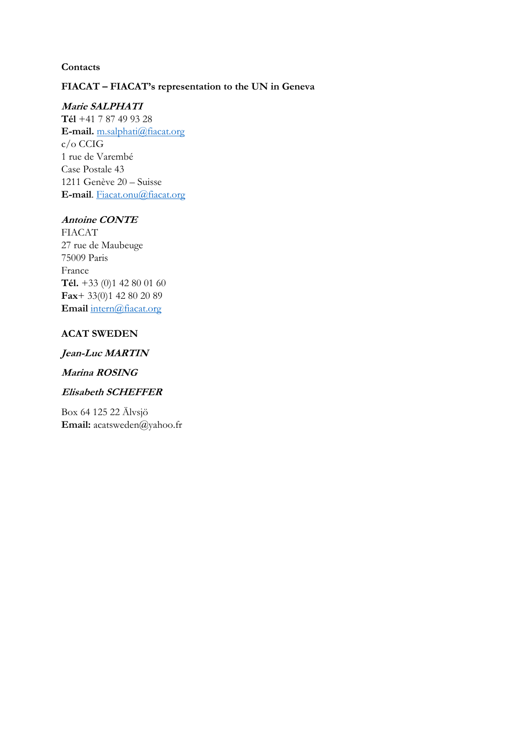#### **Contacts**

# **FIACAT – FIACAT's representation to the UN in Geneva**

#### **Marie SALPHATI**

**Tél** +41 7 87 49 93 28 **E-mail.** [m.salphati@fiacat.org](mailto:m.salphati@fiacat.org) c/o CCIG 1 rue de Varembé Case Postale 43 1211 Genève 20 – Suisse **E-mail**. [Fiacat.onu@fiacat.org](mailto:Fiacat.onu@fiacat.org)

#### **Antoine CONTE**

FIACAT 27 rue de Maubeuge 75009 Paris France **Tél.** +33 (0)1 42 80 01 60 **Fax**+ 33(0)1 42 80 20 89 **Email** [intern@fiacat.org](mailto:intern@fiacat.org)

#### **ACAT SWEDEN**

#### **Jean-Luc MARTIN**

#### **Marina ROSING**

#### **Elisabeth SCHEFFER**

Box 64 125 22 Älvsjö **Email:** acatsweden@yahoo.fr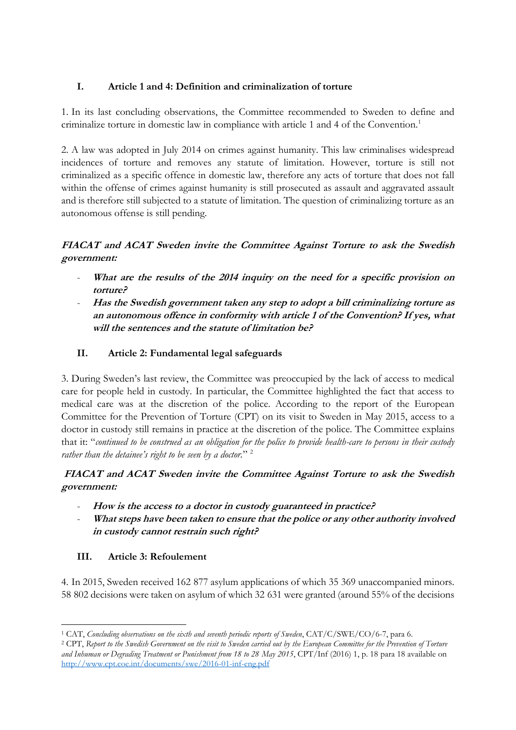## **I. Article 1 and 4: Definition and criminalization of torture**

1. In its last concluding observations, the Committee recommended to Sweden to define and criminalize torture in domestic law in compliance with article 1 and 4 of the Convention.<sup>1</sup>

2. A law was adopted in July 2014 on crimes against humanity. This law criminalises widespread incidences of torture and removes any statute of limitation. However, torture is still not criminalized as a specific offence in domestic law, therefore any acts of torture that does not fall within the offense of crimes against humanity is still prosecuted as assault and aggravated assault and is therefore still subjected to a statute of limitation. The question of criminalizing torture as an autonomous offense is still pending.

# **FIACAT and ACAT Sweden invite the Committee Against Torture to ask the Swedish government:**

- **What are the results of the 2014 inquiry on the need for a specific provision on torture?**
- **Has the Swedish government taken any step to adopt a bill criminalizing torture as an autonomous offence in conformity with article 1 of the Convention? If yes, what will the sentences and the statute of limitation be?**

## **II. Article 2: Fundamental legal safeguards**

3. During Sweden's last review, the Committee was preoccupied by the lack of access to medical care for people held in custody. In particular, the Committee highlighted the fact that access to medical care was at the discretion of the police. According to the report of the European Committee for the Prevention of Torture (CPT) on its visit to Sweden in May 2015, access to a doctor in custody still remains in practice at the discretion of the police. The Committee explains that it: "*continued to be construed as an obligation for the police to provide health-care to persons in their custody*  rather than the detainee's right to be seen by a doctor."<sup>2</sup>

**FIACAT and ACAT Sweden invite the Committee Against Torture to ask the Swedish government:**

- **How is the access to a doctor in custody guaranteed in practice?**
- What steps have been taken to ensure that the police or any other authority involved **in custody cannot restrain such right?**

## **III. Article 3: Refoulement**

4. In 2015, Sweden received 162 877 asylum applications of which 35 369 unaccompanied minors. 58 802 decisions were taken on asylum of which 32 631 were granted (around 55% of the decisions

<sup>-</sup><sup>1</sup> CAT, *Concluding observations on the sixth and seventh periodic reports of Sweden*, CAT/C/SWE/CO/6-7, para 6.

<sup>2</sup> CPT, *Report to the Swedish Government on the visit to Sweden carried out by the European Committee for the Prevention of Torture and Inhuman or Degrading Treatment or Punishment from 18 to 28 May 2015*, CPT/Inf (2016) 1, p. 18 para 18 available on <http://www.cpt.coe.int/documents/swe/2016-01-inf-eng.pdf>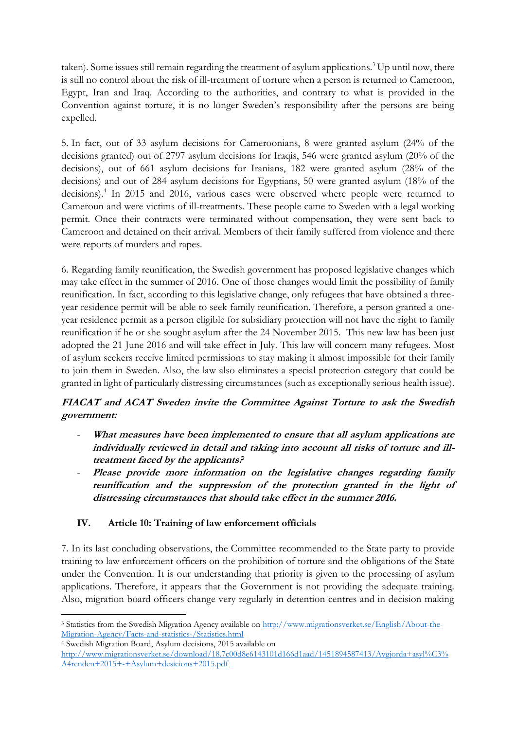taken). Some issues still remain regarding the treatment of asylum applications.<sup>3</sup> Up until now, there is still no control about the risk of ill-treatment of torture when a person is returned to Cameroon, Egypt, Iran and Iraq. According to the authorities, and contrary to what is provided in the Convention against torture, it is no longer Sweden's responsibility after the persons are being expelled.

5. In fact, out of 33 asylum decisions for Cameroonians, 8 were granted asylum (24% of the decisions granted) out of 2797 asylum decisions for Iraqis, 546 were granted asylum (20% of the decisions), out of 661 asylum decisions for Iranians, 182 were granted asylum (28% of the decisions) and out of 284 asylum decisions for Egyptians, 50 were granted asylum (18% of the decisions).<sup>4</sup> In 2015 and 2016, various cases were observed where people were returned to Cameroun and were victims of ill-treatments. These people came to Sweden with a legal working permit. Once their contracts were terminated without compensation, they were sent back to Cameroon and detained on their arrival. Members of their family suffered from violence and there were reports of murders and rapes.

6. Regarding family reunification, the Swedish government has proposed legislative changes which may take effect in the summer of 2016. One of those changes would limit the possibility of family reunification. In fact, according to this legislative change, only refugees that have obtained a threeyear residence permit will be able to seek family reunification. Therefore, a person granted a oneyear residence permit as a person eligible for subsidiary protection will not have the right to family reunification if he or she sought asylum after the 24 November 2015. This new law has been just adopted the 21 June 2016 and will take effect in July. This law will concern many refugees. Most of asylum seekers receive limited permissions to stay making it almost impossible for their family to join them in Sweden. Also, the law also eliminates a special protection category that could be granted in light of particularly distressing circumstances (such as exceptionally serious health issue).

## **FIACAT and ACAT Sweden invite the Committee Against Torture to ask the Swedish government:**

- What measures have been implemented to ensure that all asylum applications are **individually reviewed in detail and taking into account all risks of torture and illtreatment faced by the applicants?**
- Please provide more information on the legislative changes regarding family **reunification and the suppression of the protection granted in the light of distressing circumstances that should take effect in the summer 2016.**

## **IV. Article 10: Training of law enforcement officials**

7. In its last concluding observations, the Committee recommended to the State party to provide training to law enforcement officers on the prohibition of torture and the obligations of the State under the Convention. It is our understanding that priority is given to the processing of asylum applications. Therefore, it appears that the Government is not providing the adequate training. Also, migration board officers change very regularly in detention centres and in decision making

<sup>-</sup><sup>3</sup> Statistics from the Swedish Migration Agency available on [http://www.migrationsverket.se/English/About-the-](http://www.migrationsverket.se/English/About-the-Migration-Agency/Facts-and-statistics-/Statistics.html)[Migration-Agency/Facts-and-statistics-/Statistics.html](http://www.migrationsverket.se/English/About-the-Migration-Agency/Facts-and-statistics-/Statistics.html)

<sup>4</sup> Swedish Migration Board, Asylum decisions, 2015 available on

[http://www.migrationsverket.se/download/18.7c00d8e6143101d166d1aad/1451894587413/Avgjorda+asyl%C3%](http://www.migrationsverket.se/download/18.7c00d8e6143101d166d1aad/1451894587413/Avgjorda+asyl%C3%A4renden+2015+-+Asylum+desicions+2015.pdf) [A4renden+2015+-+Asylum+desicions+2015.pdf](http://www.migrationsverket.se/download/18.7c00d8e6143101d166d1aad/1451894587413/Avgjorda+asyl%C3%A4renden+2015+-+Asylum+desicions+2015.pdf)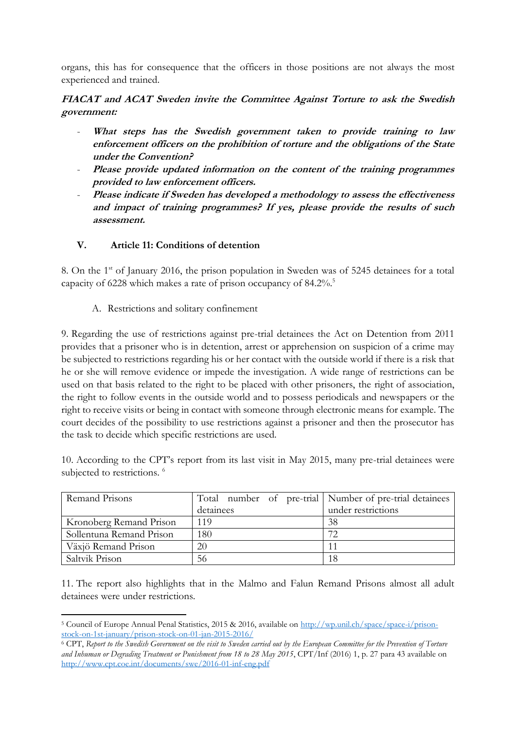organs, this has for consequence that the officers in those positions are not always the most experienced and trained.

## **FIACAT and ACAT Sweden invite the Committee Against Torture to ask the Swedish government:**

- What steps has the Swedish government taken to provide training to law **enforcement officers on the prohibition of torture and the obligations of the State under the Convention?**
- Please provide updated information on the content of the training programmes **provided to law enforcement officers.**
- Please indicate if Sweden has developed a methodology to assess the effectiveness **and impact of training programmes? If yes, please provide the results of such assessment.**

## **V. Article 11: Conditions of detention**

8. On the 1<sup>st</sup> of January 2016, the prison population in Sweden was of 5245 detainees for a total capacity of 6228 which makes a rate of prison occupancy of 84.2%.<sup>5</sup>

A. Restrictions and solitary confinement

9. Regarding the use of restrictions against pre-trial detainees the Act on Detention from 2011 provides that a prisoner who is in detention, arrest or apprehension on suspicion of a crime may be subjected to restrictions regarding his or her contact with the outside world if there is a risk that he or she will remove evidence or impede the investigation. A wide range of restrictions can be used on that basis related to the right to be placed with other prisoners, the right of association, the right to follow events in the outside world and to possess periodicals and newspapers or the right to receive visits or being in contact with someone through electronic means for example. The court decides of the possibility to use restrictions against a prisoner and then the prosecutor has the task to decide which specific restrictions are used.

10. According to the CPT's report from its last visit in May 2015, many pre-trial detainees were subjected to restrictions.<sup>6</sup>

| Remand Prisons           | Total number of pre-trial   Number of pre-trial detainees |                    |
|--------------------------|-----------------------------------------------------------|--------------------|
|                          | detainees                                                 | under restrictions |
| Kronoberg Remand Prison  | 119                                                       | 38                 |
| Sollentuna Remand Prison | 180                                                       | 72                 |
| Växjö Remand Prison      | 20                                                        |                    |
| Saltvik Prison           | 56                                                        | 18                 |

11. The report also highlights that in the Malmo and Falun Remand Prisons almost all adult detainees were under restrictions.

<sup>-</sup><sup>5</sup> Council of Europe Annual Penal Statistics, 2015 & 2016, available on [http://wp.unil.ch/space/space-i/prison](http://wp.unil.ch/space/space-i/prison-stock-on-1st-january/prison-stock-on-01-jan-2015-2016/)[stock-on-1st-january/prison-stock-on-01-jan-2015-2016/](http://wp.unil.ch/space/space-i/prison-stock-on-1st-january/prison-stock-on-01-jan-2015-2016/)

<sup>6</sup> CPT, *Report to the Swedish Government on the visit to Sweden carried out by the European Committee for the Prevention of Torture and Inhuman or Degrading Treatment or Punishment from 18 to 28 May 2015*, CPT/Inf (2016) 1, p. 27 para 43 available on <http://www.cpt.coe.int/documents/swe/2016-01-inf-eng.pdf>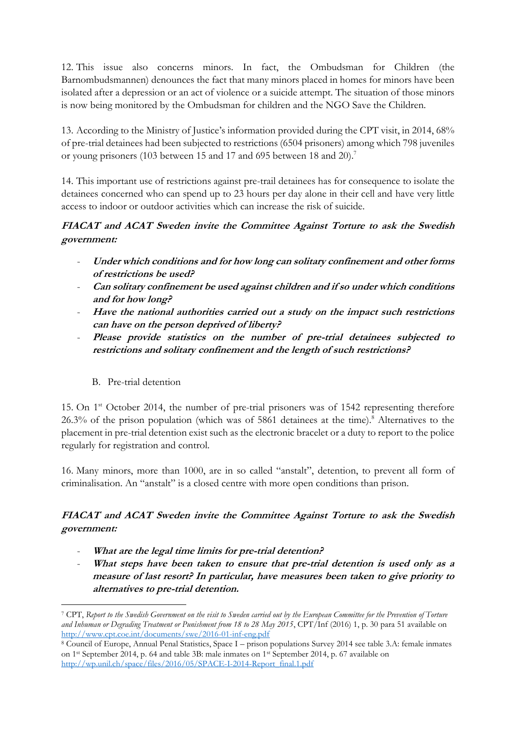12. This issue also concerns minors. In fact, the Ombudsman for Children (the Barnombudsmannen) denounces the fact that many minors placed in homes for minors have been isolated after a depression or an act of violence or a suicide attempt. The situation of those minors is now being monitored by the Ombudsman for children and the NGO Save the Children.

13. According to the Ministry of Justice's information provided during the CPT visit, in 2014, 68% of pre-trial detainees had been subjected to restrictions (6504 prisoners) among which 798 juveniles or young prisoners (103 between 15 and 17 and 695 between 18 and 20).<sup>7</sup>

14. This important use of restrictions against pre-trail detainees has for consequence to isolate the detainees concerned who can spend up to 23 hours per day alone in their cell and have very little access to indoor or outdoor activities which can increase the risk of suicide.

## **FIACAT and ACAT Sweden invite the Committee Against Torture to ask the Swedish government:**

- **Under which conditions and for how long can solitary confinement and other forms of restrictions be used?**
- **Can solitary confinement be used against children and if so under which conditions and for how long?**
- Have the national authorities carried out a study on the impact such restrictions **can have on the person deprived of liberty?**
- **Please provide statistics on the number of pre-trial detainees subjected to restrictions and solitary confinement and the length of such restrictions?**

## B. Pre-trial detention

-

15. On 1<sup>st</sup> October 2014, the number of pre-trial prisoners was of 1542 representing therefore 26.3% of the prison population (which was of 5861 detainees at the time).<sup>8</sup> Alternatives to the placement in pre-trial detention exist such as the electronic bracelet or a duty to report to the police regularly for registration and control.

16. Many minors, more than 1000, are in so called "anstalt", detention, to prevent all form of criminalisation. An "anstalt" is a closed centre with more open conditions than prison.

# **FIACAT and ACAT Sweden invite the Committee Against Torture to ask the Swedish government:**

- What are the legal time limits for pre-trial detention?
- What steps have been taken to ensure that pre-trial detention is used only as a **measure of last resort? In particular, have measures been taken to give priority to alternatives to pre-trial detention.**

<sup>7</sup> CPT, *Report to the Swedish Government on the visit to Sweden carried out by the European Committee for the Prevention of Torture and Inhuman or Degrading Treatment or Punishment from 18 to 28 May 2015*, CPT/Inf (2016) 1, p. 30 para 51 available on <http://www.cpt.coe.int/documents/swe/2016-01-inf-eng.pdf>

<sup>8</sup> Council of Europe, Annual Penal Statistics, Space I – prison populations Survey 2014 see table 3.A: female inmates on 1st September 2014, p. 64 and table 3B: male inmates on 1st September 2014, p. 67 available on [http://wp.unil.ch/space/files/2016/05/SPACE-I-2014-Report\\_final.1.pdf](http://wp.unil.ch/space/files/2016/05/SPACE-I-2014-Report_final.1.pdf)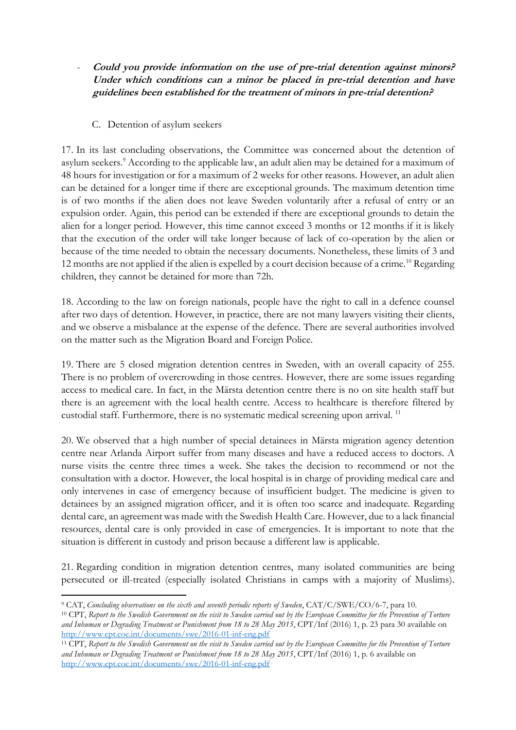- **Could you provide information on the use of pre-trial detention against minors? Under which conditions can a minor be placed in pre-trial detention and have guidelines been established for the treatment of minors in pre-trial detention?**

## C. Detention of asylum seekers

17. In its last concluding observations, the Committee was concerned about the detention of asylum seekers.<sup>9</sup> According to the applicable law, an adult alien may be detained for a maximum of 48 hours for investigation or for a maximum of 2 weeks for other reasons. However, an adult alien can be detained for a longer time if there are exceptional grounds. The maximum detention time is of two months if the alien does not leave Sweden voluntarily after a refusal of entry or an expulsion order. Again, this period can be extended if there are exceptional grounds to detain the alien for a longer period. However, this time cannot exceed 3 months or 12 months if it is likely that the execution of the order will take longer because of lack of co-operation by the alien or because of the time needed to obtain the necessary documents. Nonetheless, these limits of 3 and 12 months are not applied if the alien is expelled by a court decision because of a crime.<sup>10</sup> Regarding children, they cannot be detained for more than 72h.

18. According to the law on foreign nationals, people have the right to call in a defence counsel after two days of detention. However, in practice, there are not many lawyers visiting their clients, and we observe a misbalance at the expense of the defence. There are several authorities involved on the matter such as the Migration Board and Foreign Police.

19. There are 5 closed migration detention centres in Sweden, with an overall capacity of 255. There is no problem of overcrowding in those centres. However, there are some issues regarding access to medical care. In fact, in the Märsta detention centre there is no on site health staff but there is an agreement with the local health centre. Access to healthcare is therefore filtered by custodial staff. Furthermore, there is no systematic medical screening upon arrival.<sup>11</sup>

20. We observed that a high number of special detainees in Märsta migration agency detention centre near Arlanda Airport suffer from many diseases and have a reduced access to doctors. A nurse visits the centre three times a week. She takes the decision to recommend or not the consultation with a doctor. However, the local hospital is in charge of providing medical care and only intervenes in case of emergency because of insufficient budget. The medicine is given to detainees by an assigned migration officer, and it is often too scarce and inadequate. Regarding dental care, an agreement was made with the Swedish Health Care. However, due to a lack financial resources, dental care is only provided in case of emergencies. It is important to note that the situation is different in custody and prison because a different law is applicable.

21. Regarding condition in migration detention centres, many isolated communities are being persecuted or ill-treated (especially isolated Christians in camps with a majority of Muslims).

<sup>-</sup><sup>9</sup> CAT, *Concluding observations on the sixth and seventh periodic reports of Sweden*, CAT/C/SWE/CO/6-7, para 10.

<sup>10</sup> CPT, *Report to the Swedish Government on the visit to Sweden carried out by the European Committee for the Prevention of Torture and Inhuman or Degrading Treatment or Punishment from 18 to 28 May 2015*, CPT/Inf (2016) 1, p. 23 para 30 available on <http://www.cpt.coe.int/documents/swe/2016-01-inf-eng.pdf>

<sup>11</sup> CPT, *Report to the Swedish Government on the visit to Sweden carried out by the European Committee for the Prevention of Torture and Inhuman or Degrading Treatment or Punishment from 18 to 28 May 2015*, CPT/Inf (2016) 1, p. 6 available on <http://www.cpt.coe.int/documents/swe/2016-01-inf-eng.pdf>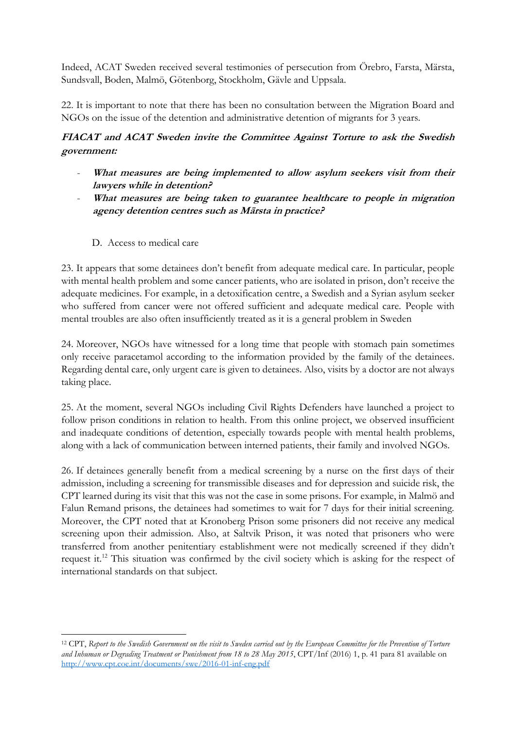Indeed, ACAT Sweden received several testimonies of persecution from Örebro, Farsta, Märsta, Sundsvall, Boden, Malmö, Götenborg, Stockholm, Gävle and Uppsala.

22. It is important to note that there has been no consultation between the Migration Board and NGOs on the issue of the detention and administrative detention of migrants for 3 years.

# **FIACAT and ACAT Sweden invite the Committee Against Torture to ask the Swedish government:**

- **What measures are being implemented to allow asylum seekers visit from their lawyers while in detention?**
- What measures are being taken to guarantee healthcare to people in migration **agency detention centres such as Märsta in practice?**
	- D. Access to medical care

-

23. It appears that some detainees don't benefit from adequate medical care. In particular, people with mental health problem and some cancer patients, who are isolated in prison, don't receive the adequate medicines. For example, in a detoxification centre, a Swedish and a Syrian asylum seeker who suffered from cancer were not offered sufficient and adequate medical care. People with mental troubles are also often insufficiently treated as it is a general problem in Sweden

24. Moreover, NGOs have witnessed for a long time that people with stomach pain sometimes only receive paracetamol according to the information provided by the family of the detainees. Regarding dental care, only urgent care is given to detainees. Also, visits by a doctor are not always taking place.

25. At the moment, several NGOs including Civil Rights Defenders have launched a project to follow prison conditions in relation to health. From this online project, we observed insufficient and inadequate conditions of detention, especially towards people with mental health problems, along with a lack of communication between interned patients, their family and involved NGOs.

26. If detainees generally benefit from a medical screening by a nurse on the first days of their admission, including a screening for transmissible diseases and for depression and suicide risk, the CPT learned during its visit that this was not the case in some prisons. For example, in Malmö and Falun Remand prisons, the detainees had sometimes to wait for 7 days for their initial screening. Moreover, the CPT noted that at Kronoberg Prison some prisoners did not receive any medical screening upon their admission. Also, at Saltvik Prison, it was noted that prisoners who were transferred from another penitentiary establishment were not medically screened if they didn't request it.<sup>12</sup> This situation was confirmed by the civil society which is asking for the respect of international standards on that subject.

<sup>12</sup> CPT, *Report to the Swedish Government on the visit to Sweden carried out by the European Committee for the Prevention of Torture and Inhuman or Degrading Treatment or Punishment from 18 to 28 May 2015*, CPT/Inf (2016) 1, p. 41 para 81 available on <http://www.cpt.coe.int/documents/swe/2016-01-inf-eng.pdf>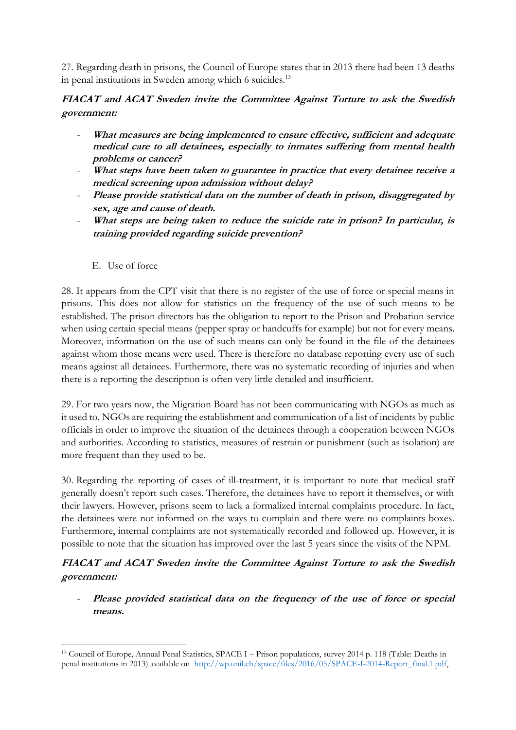27. Regarding death in prisons, the Council of Europe states that in 2013 there had been 13 deaths in penal institutions in Sweden among which 6 suicides.<sup>13</sup>

## **FIACAT and ACAT Sweden invite the Committee Against Torture to ask the Swedish government:**

- **What measures are being implemented to ensure effective, sufficient and adequate medical care to all detainees, especially to inmates suffering from mental health problems or cancer?**
- What steps have been taken to guarantee in practice that every detainee receive a **medical screening upon admission without delay?**
- Please provide statistical data on the number of death in prison, disaggregated by **sex, age and cause of death.**
- **What steps are being taken to reduce the suicide rate in prison? In particular, is training provided regarding suicide prevention?** 
	- E. Use of force

-

28. It appears from the CPT visit that there is no register of the use of force or special means in prisons. This does not allow for statistics on the frequency of the use of such means to be established. The prison directors has the obligation to report to the Prison and Probation service when using certain special means (pepper spray or handcuffs for example) but not for every means. Moreover, information on the use of such means can only be found in the file of the detainees against whom those means were used. There is therefore no database reporting every use of such means against all detainees. Furthermore, there was no systematic recording of injuries and when there is a reporting the description is often very little detailed and insufficient.

29. For two years now, the Migration Board has not been communicating with NGOs as much as it used to. NGOs are requiring the establishment and communication of a list of incidents by public officials in order to improve the situation of the detainees through a cooperation between NGOs and authorities. According to statistics, measures of restrain or punishment (such as isolation) are more frequent than they used to be.

30. Regarding the reporting of cases of ill-treatment, it is important to note that medical staff generally doesn't report such cases. Therefore, the detainees have to report it themselves, or with their lawyers. However, prisons seem to lack a formalized internal complaints procedure. In fact, the detainees were not informed on the ways to complain and there were no complaints boxes. Furthermore, internal complaints are not systematically recorded and followed up. However, it is possible to note that the situation has improved over the last 5 years since the visits of the NPM.

# **FIACAT and ACAT Sweden invite the Committee Against Torture to ask the Swedish government:**

- **Please provided statistical data on the frequency of the use of force or special means.**

<sup>13</sup> Council of Europe, Annual Penal Statistics, SPACE I – Prison populations, survey 2014 p. 118 (Table: Deaths in penal institutions in 2013) available on [http://wp.unil.ch/space/files/2016/05/SPACE-I-2014-Report\\_final.1.pdf,](http://wp.unil.ch/space/files/2016/05/SPACE-I-2014-Report_final.1.pdf)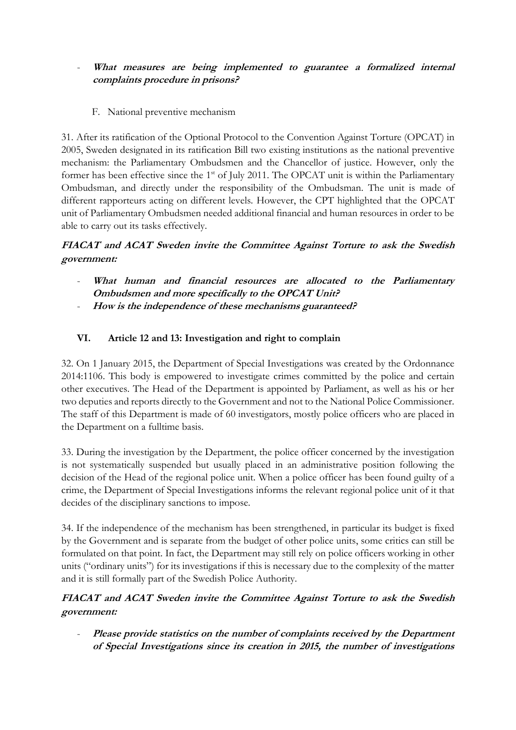## What measures are being implemented to guarantee a formalized internal **complaints procedure in prisons?**

F. National preventive mechanism

31. After its ratification of the Optional Protocol to the Convention Against Torture (OPCAT) in 2005, Sweden designated in its ratification Bill two existing institutions as the national preventive mechanism: the Parliamentary Ombudsmen and the Chancellor of justice. However, only the former has been effective since the 1<sup>st</sup> of July 2011. The OPCAT unit is within the Parliamentary Ombudsman, and directly under the responsibility of the Ombudsman. The unit is made of different rapporteurs acting on different levels. However, the CPT highlighted that the OPCAT unit of Parliamentary Ombudsmen needed additional financial and human resources in order to be able to carry out its tasks effectively.

# **FIACAT and ACAT Sweden invite the Committee Against Torture to ask the Swedish government:**

- What human and financial resources are allocated to the Parliamentary **Ombudsmen and more specifically to the OPCAT Unit?**
- **How is the independence of these mechanisms guaranteed?**

## **VI. Article 12 and 13: Investigation and right to complain**

32. On 1 January 2015, the Department of Special Investigations was created by the Ordonnance 2014:1106. This body is empowered to investigate crimes committed by the police and certain other executives. The Head of the Department is appointed by Parliament, as well as his or her two deputies and reports directly to the Government and not to the National Police Commissioner. The staff of this Department is made of 60 investigators, mostly police officers who are placed in the Department on a fulltime basis.

33. During the investigation by the Department, the police officer concerned by the investigation is not systematically suspended but usually placed in an administrative position following the decision of the Head of the regional police unit. When a police officer has been found guilty of a crime, the Department of Special Investigations informs the relevant regional police unit of it that decides of the disciplinary sanctions to impose.

34. If the independence of the mechanism has been strengthened, in particular its budget is fixed by the Government and is separate from the budget of other police units, some critics can still be formulated on that point. In fact, the Department may still rely on police officers working in other units ("ordinary units") for its investigations if this is necessary due to the complexity of the matter and it is still formally part of the Swedish Police Authority.

## **FIACAT and ACAT Sweden invite the Committee Against Torture to ask the Swedish government:**

Please provide statistics on the number of complaints received by the Department **of Special Investigations since its creation in 2015, the number of investigations**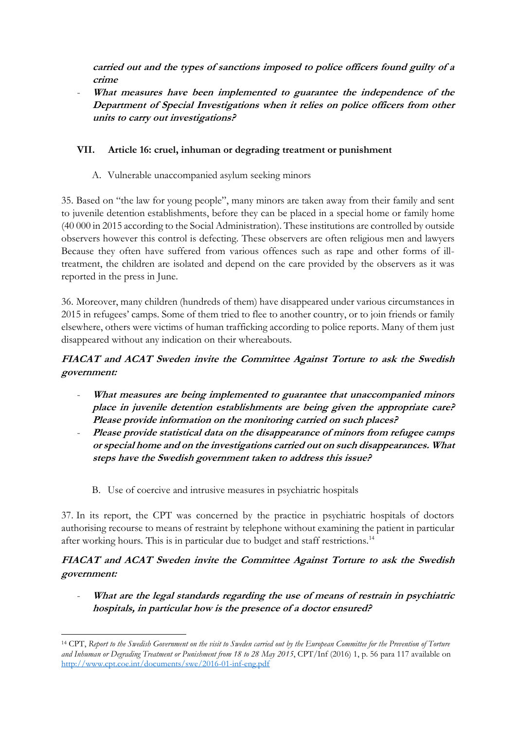**carried out and the types of sanctions imposed to police officers found guilty of a crime**

- **What measures have been implemented to guarantee the independence of the Department of Special Investigations when it relies on police officers from other units to carry out investigations?** 

## **VII. Article 16: cruel, inhuman or degrading treatment or punishment**

A. Vulnerable unaccompanied asylum seeking minors

35. Based on "the law for young people", many minors are taken away from their family and sent to juvenile detention establishments, before they can be placed in a special home or family home (40 000 in 2015 according to the Social Administration). These institutions are controlled by outside observers however this control is defecting. These observers are often religious men and lawyers Because they often have suffered from various offences such as rape and other forms of illtreatment, the children are isolated and depend on the care provided by the observers as it was reported in the press in June.

36. Moreover, many children (hundreds of them) have disappeared under various circumstances in 2015 in refugees' camps. Some of them tried to flee to another country, or to join friends or family elsewhere, others were victims of human trafficking according to police reports. Many of them just disappeared without any indication on their whereabouts.

# **FIACAT and ACAT Sweden invite the Committee Against Torture to ask the Swedish government:**

- What measures are being implemented to guarantee that unaccompanied minors **place in juvenile detention establishments are being given the appropriate care? Please provide information on the monitoring carried on such places?**
- **Please provide statistical data on the disappearance of minors from refugee camps or special home and on the investigations carried out on such disappearances. What steps have the Swedish government taken to address this issue?**
	- B. Use of coercive and intrusive measures in psychiatric hospitals

-

37. In its report, the CPT was concerned by the practice in psychiatric hospitals of doctors authorising recourse to means of restraint by telephone without examining the patient in particular after working hours. This is in particular due to budget and staff restrictions.<sup>14</sup>

**FIACAT and ACAT Sweden invite the Committee Against Torture to ask the Swedish government:**

What are the legal standards regarding the use of means of restrain in psychiatric **hospitals, in particular how is the presence of a doctor ensured?**

<sup>14</sup> CPT, *Report to the Swedish Government on the visit to Sweden carried out by the European Committee for the Prevention of Torture*  and Inhuman or Degrading Treatment or Punishment from 18 to 28 May 2015, CPT/Inf (2016) 1, p. 56 para 117 available on <http://www.cpt.coe.int/documents/swe/2016-01-inf-eng.pdf>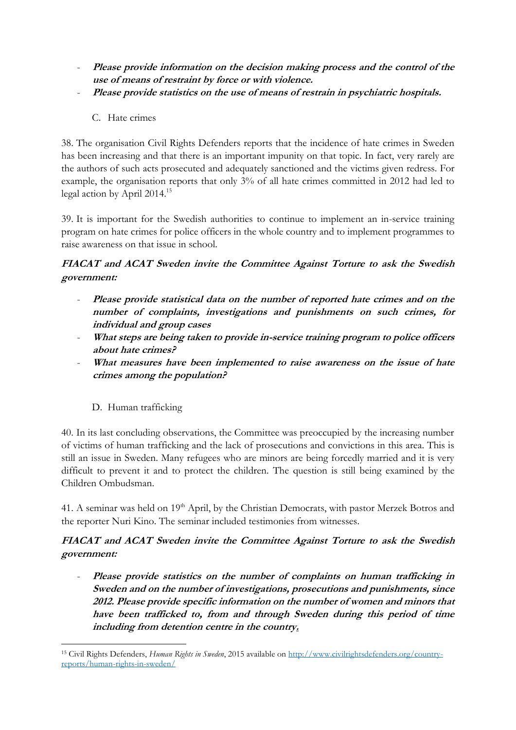- **Please provide information on the decision making process and the control of the use of means of restraint by force or with violence.**
- **Please provide statistics on the use of means of restrain in psychiatric hospitals.**
	- C. Hate crimes

38. The organisation Civil Rights Defenders reports that the incidence of hate crimes in Sweden has been increasing and that there is an important impunity on that topic. In fact, very rarely are the authors of such acts prosecuted and adequately sanctioned and the victims given redress. For example, the organisation reports that only 3% of all hate crimes committed in 2012 had led to legal action by April 2014.<sup>15</sup>

39. It is important for the Swedish authorities to continue to implement an in-service training program on hate crimes for police officers in the whole country and to implement programmes to raise awareness on that issue in school.

## **FIACAT and ACAT Sweden invite the Committee Against Torture to ask the Swedish government:**

- Please provide statistical data on the number of reported hate crimes and on the **number of complaints, investigations and punishments on such crimes, for individual and group cases**
- **What steps are being taken to provide in-service training program to police officers about hate crimes?**
- **What measures have been implemented to raise awareness on the issue of hate crimes among the population?**

## D. Human trafficking

40. In its last concluding observations, the Committee was preoccupied by the increasing number of victims of human trafficking and the lack of prosecutions and convictions in this area. This is still an issue in Sweden. Many refugees who are minors are being forcedly married and it is very difficult to prevent it and to protect the children. The question is still being examined by the Children Ombudsman.

41. A seminar was held on 19<sup>th</sup> April, by the Christian Democrats, with pastor Merzek Botros and the reporter Nuri Kino. The seminar included testimonies from witnesses.

## **FIACAT and ACAT Sweden invite the Committee Against Torture to ask the Swedish government:**

- **Please provide statistics on the number of complaints on human trafficking in Sweden and on the number of investigations, prosecutions and punishments, since 2012. Please provide specific information on the number of women and minors that have been trafficked to, from and through Sweden during this period of time including from detention centre in the country.**

<sup>-</sup><sup>15</sup> Civil Rights Defenders, *Human Rights in Sweden*, 2015 available on [http://www.civilrightsdefenders.org/country](http://www.civilrightsdefenders.org/country-reports/human-rights-in-sweden/)[reports/human-rights-in-sweden/](http://www.civilrightsdefenders.org/country-reports/human-rights-in-sweden/)